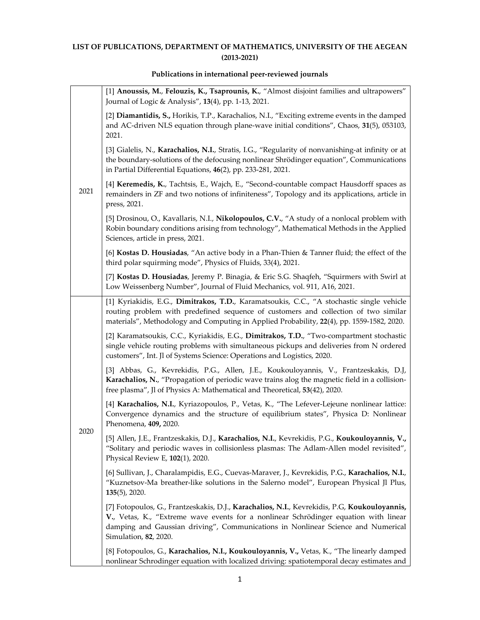## **LIST OF PUBLICATIONS, DEPARTMENT OF MATHEMATICS, UNIVERSITY OF THE AEGEAN (2013‐2021)**

## **Publications in international peer‐reviewed journals**

| 2021 | [1] Anoussis, M., Felouzis, K., Tsaprounis, K., "Almost disjoint families and ultrapowers"<br>Journal of Logic & Analysis", 13(4), pp. 1-13, 2021.                                                                                                                                                |
|------|---------------------------------------------------------------------------------------------------------------------------------------------------------------------------------------------------------------------------------------------------------------------------------------------------|
|      | [2] Diamantidis, S., Horikis, T.P., Karachalios, N.I., "Exciting extreme events in the damped<br>and AC-driven NLS equation through plane-wave initial conditions", Chaos, 31(5), 053103,<br>2021.                                                                                                |
|      | [3] Gialelis, N., Karachalios, N.I., Stratis, I.G., "Regularity of nonvanishing-at infinity or at<br>the boundary-solutions of the defocusing nonlinear Shrödinger equation", Communications<br>in Partial Differential Equations, 46(2), pp. 233-281, 2021.                                      |
|      | [4] Keremedis, K., Tachtsis, E., Wajch, E., "Second-countable compact Hausdorff spaces as<br>remainders in ZF and two notions of infiniteness", Topology and its applications, article in<br>press, 2021.                                                                                         |
|      | [5] Drosinou, O., Kavallaris, N.I., Nikolopoulos, C.V., "A study of a nonlocal problem with<br>Robin boundary conditions arising from technology", Mathematical Methods in the Applied<br>Sciences, article in press, 2021.                                                                       |
|      | [6] Kostas D. Housiadas, "An active body in a Phan-Thien & Tanner fluid; the effect of the<br>third polar squirming mode", Physics of Fluids, 33(4), 2021.                                                                                                                                        |
|      | [7] Kostas D. Housiadas, Jeremy P. Binagia, & Eric S.G. Shaqfeh, "Squirmers with Swirl at<br>Low Weissenberg Number", Journal of Fluid Mechanics, vol. 911, A16, 2021.                                                                                                                            |
|      | [1] Kyriakidis, E.G., Dimitrakos, T.D., Karamatsoukis, C.C., "A stochastic single vehicle<br>routing problem with predefined sequence of customers and collection of two similar<br>materials", Methodology and Computing in Applied Probability, 22(4), pp. 1559-1582, 2020.                     |
|      | [2] Karamatsoukis, C.C., Kyriakidis, E.G., Dimitrakos, T.D., "Two-compartment stochastic<br>single vehicle routing problems with simultaneous pickups and deliveries from N ordered<br>customers", Int. Jl of Systems Science: Operations and Logistics, 2020.                                    |
|      | [3] Abbas, G., Kevrekidis, P.G., Allen, J.E., Koukouloyannis, V., Frantzeskakis, D.J,<br>Karachalios, N., "Propagation of periodic wave trains alog the magnetic field in a collision-<br>free plasma", Jl of Physics A: Mathematical and Theoretical, 53(42), 2020.                              |
| 2020 | [4] Karachalios, N.I., Kyriazopoulos, P., Vetas, K., "The Lefever-Lejeune nonlinear lattice:<br>Convergence dynamics and the structure of equilibrium states", Physica D: Nonlinear<br>Phenomena, 409, 2020.                                                                                      |
|      | [5] Allen, J.E., Frantzeskakis, D.J., Karachalios, N.I., Kevrekidis, P.G., Koukouloyannis, V.,<br>"Solitary and periodic waves in collisionless plasmas: The Adlam-Allen model revisited",<br>Physical Review E, 102(1), 2020.                                                                    |
|      | [6] Sullivan, J., Charalampidis, E.G., Cuevas-Maraver, J., Kevrekidis, P.G., Karachalios, N.I.,<br>"Kuznetsov-Ma breather-like solutions in the Salerno model", European Physical Jl Plus,<br>$135(5)$ , 2020.                                                                                    |
|      | [7] Fotopoulos, G., Frantzeskakis, D.J., Karachalios, N.I., Kevrekidis, P.G, Koukouloyannis,<br>V., Vetas, K., "Extreme wave events for a nonlinear Schrödinger equation with linear<br>damping and Gaussian driving", Communications in Nonlinear Science and Numerical<br>Simulation, 82, 2020. |
|      | [8] Fotopoulos, G., Karachalios, N.I., Koukouloyannis, V., Vetas, K., "The linearly damped<br>nonlinear Schrodinger equation with localized driving: spatiotemporal decay estimates and                                                                                                           |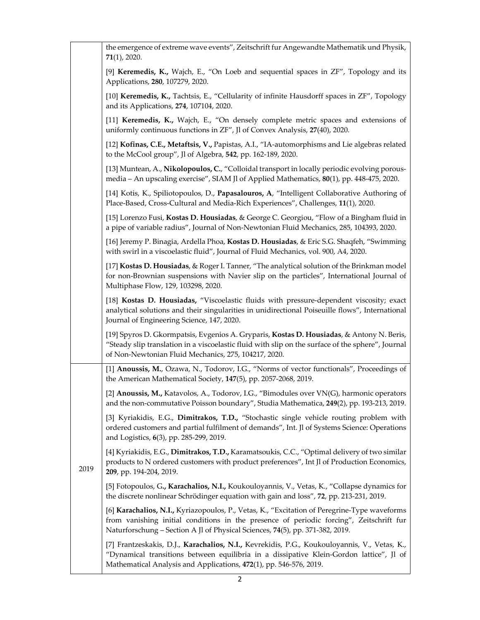|      | the emergence of extreme wave events", Zeitschrift fur Angewandte Mathematik und Physik,<br>$71(1)$ , 2020.                                                                                                                                                              |
|------|--------------------------------------------------------------------------------------------------------------------------------------------------------------------------------------------------------------------------------------------------------------------------|
|      | [9] Keremedis, K., Wajch, E., "On Loeb and sequential spaces in ZF", Topology and its<br>Applications, 280, 107279, 2020.                                                                                                                                                |
|      | [10] Keremedis, K., Tachtsis, E., "Cellularity of infinite Hausdorff spaces in ZF", Topology<br>and its Applications, 274, 107104, 2020.                                                                                                                                 |
|      | [11] Keremedis, K., Wajch, E., "On densely complete metric spaces and extensions of<br>uniformly continuous functions in ZF", Jl of Convex Analysis, 27(40), 2020.                                                                                                       |
|      | [12] Kofinas, C.E., Metaftsis, V., Papistas, A.I., "IA-automorphisms and Lie algebras related<br>to the McCool group", Jl of Algebra, 542, pp. 162-189, 2020.                                                                                                            |
|      | [13] Muntean, A., Nikolopoulos, C., "Colloidal transport in locally periodic evolving porous-<br>media - An upscaling exercise", SIAM Jl of Applied Mathematics, 80(1), pp. 448-475, 2020.                                                                               |
|      | [14] Kotis, K., Spiliotopoulos, D., Papasalouros, A, "Intelligent Collaborative Authoring of<br>Place-Based, Cross-Cultural and Media-Rich Experiences", Challenges, 11(1), 2020.                                                                                        |
|      | [15] Lorenzo Fusi, Kostas D. Housiadas, & George C. Georgiou, "Flow of a Bingham fluid in<br>a pipe of variable radius", Journal of Non-Newtonian Fluid Mechanics, 285, 104393, 2020.                                                                                    |
|      | [16] Jeremy P. Binagia, Ardella Phoa, Kostas D. Housiadas, & Eric S.G. Shaqfeh, "Swimming<br>with swirl in a viscoelastic fluid", Journal of Fluid Mechanics, vol. 900, A4, 2020.                                                                                        |
|      | [17] Kostas D. Housiadas, & Roger I. Tanner, "The analytical solution of the Brinkman model<br>for non-Brownian suspensions with Navier slip on the particles", International Journal of<br>Multiphase Flow, 129, 103298, 2020.                                          |
|      | [18] Kostas D. Housiadas, "Viscoelastic fluids with pressure-dependent viscosity; exact<br>analytical solutions and their singularities in unidirectional Poiseuille flows", International<br>Journal of Engineering Science, 147, 2020.                                 |
|      | [19] Spyros D. Gkormpatsis, Evgenios A. Gryparis, Kostas D. Housiadas, & Antony N. Beris,<br>"Steady slip translation in a viscoelastic fluid with slip on the surface of the sphere", Journal<br>of Non-Newtonian Fluid Mechanics, 275, 104217, 2020.                   |
|      | [1] Anoussis, M., Ozawa, N., Todorov, I.G., "Norms of vector functionals", Proceedings of<br>the American Mathematical Society, 147(5), pp. 2057-2068, 2019.                                                                                                             |
|      | [2] Anoussis, M., Katavolos, A., Todorov, I.G., "Bimodules over VN(G), harmonic operators<br>and the non-commutative Poisson boundary", Studia Mathematica, 249(2), pp. 193-213, 2019.                                                                                   |
| 2019 | [3] Kyriakidis, E.G., Dimitrakos, T.D., "Stochastic single vehicle routing problem with<br>ordered customers and partial fulfilment of demands", Int. Jl of Systems Science: Operations<br>and Logistics, 6(3), pp. 285-299, 2019.                                       |
|      | [4] Kyriakidis, E.G., Dimitrakos, T.D., Karamatsoukis, C.C., "Optimal delivery of two similar<br>products to N ordered customers with product preferences", Int Jl of Production Economics,<br>209, pp. 194-204, 2019.                                                   |
|      | [5] Fotopoulos, G., Karachalios, N.I., Koukouloyannis, V., Vetas, K., "Collapse dynamics for<br>the discrete nonlinear Schrödinger equation with gain and loss", 72, pp. 213-231, 2019.                                                                                  |
|      | [6] Karachalios, N.I., Kyriazopoulos, P., Vetas, K., "Excitation of Peregrine-Type waveforms<br>from vanishing initial conditions in the presence of periodic forcing", Zeitschrift fur<br>Naturforschung - Section A Jl of Physical Sciences, 74(5), pp. 371-382, 2019. |
|      | [7] Frantzeskakis, D.J., Karachalios, N.I., Kevrekidis, P.G., Koukouloyannis, V., Vetas, K.,<br>"Dynamical transitions between equilibria in a dissipative Klein-Gordon lattice", Jl of<br>Mathematical Analysis and Applications, 472(1), pp. 546-576, 2019.            |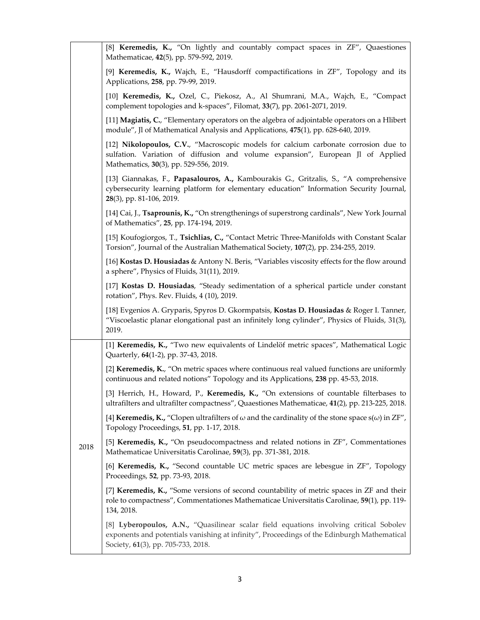|      | [8] Keremedis, K., "On lightly and countably compact spaces in ZF", Quaestiones<br>Mathematicae, 42(5), pp. 579-592, 2019.                                                                                                 |
|------|----------------------------------------------------------------------------------------------------------------------------------------------------------------------------------------------------------------------------|
|      | [9] Keremedis, K., Wajch, E., "Hausdorff compactifications in ZF", Topology and its<br>Applications, 258, pp. 79-99, 2019.                                                                                                 |
|      | [10] Keremedis, K., Ozel, C., Piekosz, A., Al Shumrani, M.A., Wajch, E., "Compact<br>complement topologies and k-spaces", Filomat, 33(7), pp. 2061-2071, 2019.                                                             |
|      | [11] Magiatis, C., "Elementary operators on the algebra of adjointable operators on a Hlibert<br>module", Jl of Mathematical Analysis and Applications, 475(1), pp. 628-640, 2019.                                         |
|      | [12] Nikolopoulos, C.V., "Macroscopic models for calcium carbonate corrosion due to<br>sulfation. Variation of diffusion and volume expansion", European Jl of Applied<br>Mathematics, 30(3), pp. 529-556, 2019.           |
|      | [13] Giannakas, F., Papasalouros, A., Kambourakis G., Gritzalis, S., "A comprehensive<br>cybersecurity learning platform for elementary education" Information Security Journal,<br>28(3), pp. 81-106, 2019.               |
|      | [14] Cai, J., Tsaprounis, K., "On strengthenings of superstrong cardinals", New York Journal<br>of Mathematics", 25, pp. 174-194, 2019.                                                                                    |
|      | [15] Koufogiorgos, T., Tsichlias, C., "Contact Metric Three-Manifolds with Constant Scalar<br>Torsion", Journal of the Australian Mathematical Society, 107(2), pp. 234-255, 2019.                                         |
|      | [16] Kostas D. Housiadas & Antony N. Beris, "Variables viscosity effects for the flow around<br>a sphere", Physics of Fluids, 31(11), 2019.                                                                                |
|      | [17] Kostas D. Housiadas, "Steady sedimentation of a spherical particle under constant<br>rotation", Phys. Rev. Fluids, 4 (10), 2019.                                                                                      |
|      | [18] Evgenios A. Gryparis, Spyros D. Gkormpatsis, Kostas D. Housiadas & Roger I. Tanner,<br>"Viscoelastic planar elongational past an infinitely long cylinder", Physics of Fluids, 31(3),<br>2019.                        |
|      | [1] Keremedis, K., "Two new equivalents of Lindelöf metric spaces", Mathematical Logic<br>Quarterly, 64(1-2), pp. 37-43, 2018.                                                                                             |
|      | [2] Keremedis, K., "On metric spaces where continuous real valued functions are uniformly<br>continuous and related notions" Topology and its Applications, 238 pp. 45-53, 2018.                                           |
|      | [3] Herrich, H., Howard, P., Keremedis, K., "On extensions of countable filterbases to<br>ultrafilters and ultrafilter compactness", Quaestiones Mathematicae, 41(2), pp. 213-225, 2018.                                   |
|      | [4] <b>Keremedis, K.,</b> "Clopen ultrafilters of $\omega$ and the cardinality of the stone space $s(\omega)$ in ZF",<br>Topology Proceedings, 51, pp. 1-17, 2018.                                                         |
| 2018 | [5] Keremedis, K., "On pseudocompactness and related notions in ZF", Commentationes<br>Mathematicae Universitatis Carolinae, 59(3), pp. 371-381, 2018.                                                                     |
|      | [6] Keremedis, K., "Second countable UC metric spaces are lebesgue in ZF", Topology<br>Proceedings, 52, pp. 73-93, 2018.                                                                                                   |
|      | [7] Keremedis, K., "Some versions of second countability of metric spaces in ZF and their<br>role to compactness", Commentationes Mathematicae Universitatis Carolinae, 59(1), pp. 119-<br>134, 2018.                      |
|      | [8] Lyberopoulos, A.N., "Quasilinear scalar field equations involving critical Sobolev<br>exponents and potentials vanishing at infinity", Proceedings of the Edinburgh Mathematical<br>Society, 61(3), pp. 705-733, 2018. |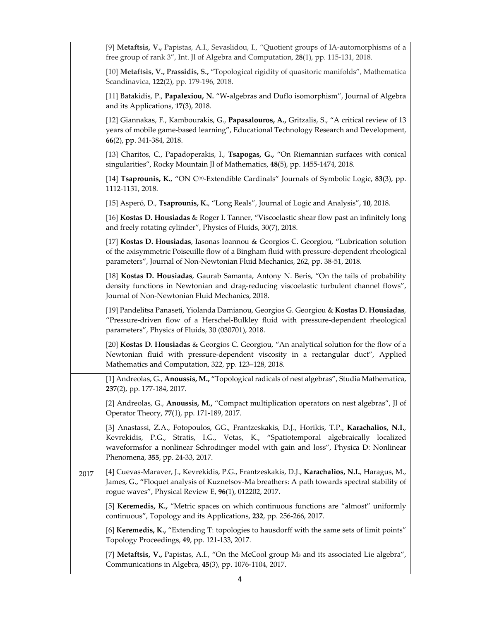|      | [9] Metaftsis, V., Papistas, A.I., Sevaslidou, I., "Quotient groups of IA-automorphisms of a<br>free group of rank 3", Int. Jl of Algebra and Computation, 28(1), pp. 115-131, 2018.                                                                                                                            |
|------|-----------------------------------------------------------------------------------------------------------------------------------------------------------------------------------------------------------------------------------------------------------------------------------------------------------------|
|      | [10] Metaftsis, V., Prassidis, S., "Topological rigidity of quasitoric manifolds", Mathematica<br>Scandinavica, 122(2), pp. 179-196, 2018.                                                                                                                                                                      |
|      | [11] Batakidis, P., Papalexiou, N. "W-algebras and Duflo isomorphism", Journal of Algebra<br>and its Applications, 17(3), 2018.                                                                                                                                                                                 |
|      | [12] Giannakas, F., Kambourakis, G., Papasalouros, A., Gritzalis, S., "A critical review of 13<br>years of mobile game-based learning", Educational Technology Research and Development,<br>66(2), pp. 341-384, 2018.                                                                                           |
|      | [13] Charitos, C., Papadoperakis, I., Tsapogas, G., "On Riemannian surfaces with conical<br>singularities", Rocky Mountain Jl of Mathematics, 48(5), pp. 1455-1474, 2018.                                                                                                                                       |
|      | [14] Tsaprounis, K., "ON C <sup>(n)</sup> -Extendible Cardinals" Journals of Symbolic Logic, 83(3), pp.<br>1112-1131, 2018.                                                                                                                                                                                     |
|      | [15] Asperó, D., Tsaprounis, K., "Long Reals", Journal of Logic and Analysis", 10, 2018.                                                                                                                                                                                                                        |
|      | [16] Kostas D. Housiadas & Roger I. Tanner, "Viscoelastic shear flow past an infinitely long<br>and freely rotating cylinder", Physics of Fluids, 30(7), 2018.                                                                                                                                                  |
|      | [17] Kostas D. Housiadas, Iasonas Ioannou & Georgios C. Georgiou, "Lubrication solution<br>of the axisymmetric Poiseuille flow of a Bingham fluid with pressure-dependent rheological<br>parameters", Journal of Non-Newtonian Fluid Mechanics, 262, pp. 38-51, 2018.                                           |
|      | [18] Kostas D. Housiadas, Gaurab Samanta, Antony N. Beris, "On the tails of probability<br>density functions in Newtonian and drag-reducing viscoelastic turbulent channel flows",<br>Journal of Non-Newtonian Fluid Mechanics, 2018.                                                                           |
|      | [19] Pandelitsa Panaseti, Yiolanda Damianou, Georgios G. Georgiou & Kostas D. Housiadas,<br>"Pressure-driven flow of a Herschel-Bulkley fluid with pressure-dependent rheological<br>parameters", Physics of Fluids, 30 (030701), 2018.                                                                         |
|      | [20] Kostas D. Housiadas & Georgios C. Georgiou, "An analytical solution for the flow of a<br>Newtonian fluid with pressure-dependent viscosity in a rectangular duct", Applied<br>Mathematics and Computation, 322, pp. 123-128, 2018.                                                                         |
|      | [1] Andreolas, G., Anoussis, M., "Topological radicals of nest algebras", Studia Mathematica,<br>237(2), pp. 177-184, 2017.                                                                                                                                                                                     |
|      | [2] Andreolas, G., Anoussis, M., "Compact multiplication operators on nest algebras", Jl of<br>Operator Theory, 77(1), pp. 171-189, 2017.                                                                                                                                                                       |
|      | [3] Anastassi, Z.A., Fotopoulos, GG., Frantzeskakis, D.J., Horikis, T.P., Karachalios, N.I.,<br>Kevrekidis, P.G., Stratis, I.G., Vetas, K., "Spatiotemporal algebraically localized<br>waveformsfor a nonlinear Schrodinger model with gain and loss", Physica D: Nonlinear<br>Phenomena, 355, pp. 24-33, 2017. |
| 2017 | [4] Cuevas-Maraver, J., Kevrekidis, P.G., Frantzeskakis, D.J., Karachalios, N.I., Haragus, M.,<br>James, G., "Floquet analysis of Kuznetsov-Ma breathers: A path towards spectral stability of<br>rogue waves", Physical Review E, 96(1), 012202, 2017.                                                         |
|      | [5] Keremedis, K., "Metric spaces on which continuous functions are "almost" uniformly<br>continuous", Topology and its Applications, 232, pp. 256-266, 2017.                                                                                                                                                   |
|      | [6] Keremedis, K., "Extending T <sub>1</sub> topologies to hausdorff with the same sets of limit points"<br>Topology Proceedings, 49, pp. 121-133, 2017.                                                                                                                                                        |
|      | [7] Metaftsis, V., Papistas, A.I., "On the McCool group M <sub>3</sub> and its associated Lie algebra",<br>Communications in Algebra, 45(3), pp. 1076-1104, 2017.                                                                                                                                               |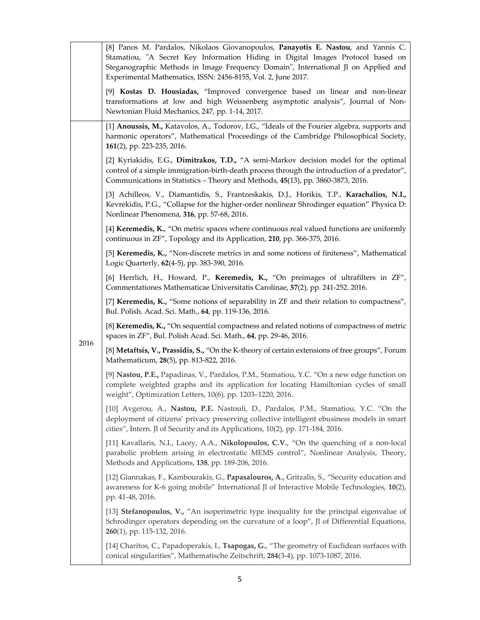|      | [8] Panos M. Pardalos, Nikolaos Giovanopoulos, Panayotis E. Nastou, and Yannis C.<br>Stamatiou, "A Secret Key Information Hiding in Digital Images Protocol based on<br>Steganographic Methods in Image Frequency Domain", International Jl on Applied and<br>Experimental Mathematics, ISSN: 2456-8155, Vol. 2, June 2017. |
|------|-----------------------------------------------------------------------------------------------------------------------------------------------------------------------------------------------------------------------------------------------------------------------------------------------------------------------------|
|      | [9] Kostas D. Housiadas, "Improved convergence based on linear and non-linear<br>transformations at low and high Weissenberg asymptotic analysis", Journal of Non-<br>Newtonian Fluid Mechanics, 247, pp. 1-14, 2017.                                                                                                       |
|      | [1] Anoussis, M., Katavolos, A., Todorov, I.G., "Ideals of the Fourier algebra, supports and<br>harmonic operators", Mathematical Proceedings of the Cambridge Philosophical Society,<br>161(2), pp. 223-235, 2016.                                                                                                         |
|      | [2] Kyriakidis, E.G., Dimitrakos, T.D., "A semi-Markov decision model for the optimal<br>control of a simple immigration-birth-death process through the introduction of a predator",<br>Communications in Statistics - Theory and Methods, 45(13), pp. 3860-3873, 2016.                                                    |
|      | [3] Achilleos, V., Diamantidis, S., Frantzeskakis, D.J., Horikis, T.P., Karachalios, N.I.,<br>Kevrekidis, P.G., "Collapse for the higher-order nonlinear Shrodinger equation" Physica D:<br>Nonlinear Phenomena, 316, pp. 57-68, 2016.                                                                                      |
|      | [4] Keremedis, K., "On metric spaces where continuous real valued functions are uniformly<br>continuous in ZF", Topology and its Application, 210, pp. 366-375, 2016.                                                                                                                                                       |
|      | [5] Keremedis, K., "Non-discrete metrics in and some notions of finiteness", Mathematical<br>Logic Quarterly, 62(4-5), pp. 383-390, 2016.                                                                                                                                                                                   |
|      | [6] Herrlich, H., Howard, P., Keremedis, K., "On preimages of ultrafilters in ZF",<br>Commentationes Mathematicae Universitatis Carolinae, 57(2), pp. 241-252. 2016.                                                                                                                                                        |
|      | [7] Keremedis, K., "Some notions of separability in ZF and their relation to compactness",<br>Bul. Polish. Acad. Sci. Math., 64, pp. 119-136, 2016.                                                                                                                                                                         |
| 2016 | [8] Keremedis, K., "On sequential compactness and related notions of compactness of metric<br>spaces in ZF", Bul. Polish Acad. Sci. Math., 64, pp. 29-46, 2016.                                                                                                                                                             |
|      | [8] Metaftsis, V., Prassidis, S., "On the K-theory of certain extensions of free groups", Forum<br>Mathematicum, 28(5), pp. 813-822, 2016.                                                                                                                                                                                  |
|      | [9] Nastou, P.E., Papadinas, V., Pardalos, P.M., Stamatiou, Y.C. "On a new edge function on<br>complete weighted graphs and its application for locating Hamiltonian cycles of small<br>weight", Optimization Letters, 10(6), pp. 1203-1220, 2016.                                                                          |
|      | [10] Avgerou, A., Nastou, P.E. Nastouli, D., Pardalos, P.M., Stamatiou, Y.C. "On the<br>deployment of citizens' privacy preserving collective intelligent ebusiness models in smart<br>cities", Intern. Jl of Security and its Applications, 10(2), pp. 171-184, 2016.                                                      |
|      | [11] Kavallaris, N.I., Lacey, A.A., Nikolopoulos, C.V., "On the quenching of a non-local<br>parabolic problem arising in electrostatic MEMS control", Nonlinear Analysis, Theory,<br>Methods and Applications, 138, pp. 189-206, 2016.                                                                                      |
|      | [12] Giannakas, F., Kambourakis, G., Papasalouros, A., Gritzalis, S., "Security education and<br>awareness for K-6 going mobile" International Jl of Interactive Mobile Technologies, 10(2),<br>pp. 41-48, 2016.                                                                                                            |
|      | [13] Stefanopoulos, V., "An isoperimetric type inequality for the principal eigenvalue of<br>Schrodinger operators depending on the curvature of a loop", Jl of Differential Equations,<br>260(1), pp. 115-132, 2016.                                                                                                       |
|      | [14] Charitos, C., Papadoperakis, I., Tsapogas, G., "The geometry of Euclidean surfaces with<br>conical singularities", Mathematische Zeitschrift, 284(3-4), pp. 1073-1087, 2016.                                                                                                                                           |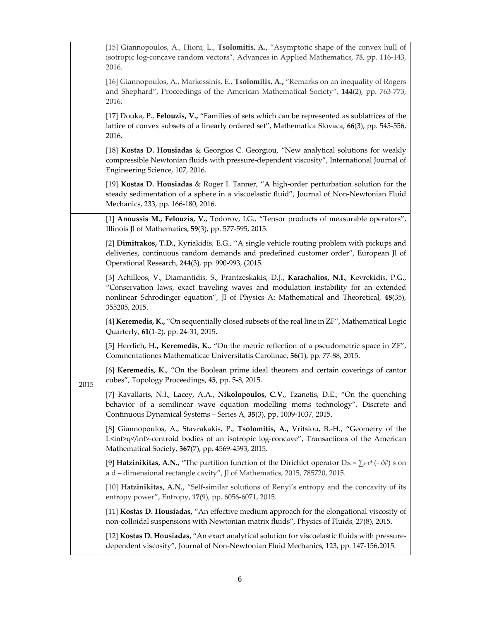| [15] Giannopoulos, A., Hioni, L., Tsolomitis, A., "Asymptotic shape of the convex hull of<br>isotropic log-concave random vectors", Advances in Applied Mathematics, 75, pp. 116-143,<br>2016.                                                                                                    |
|---------------------------------------------------------------------------------------------------------------------------------------------------------------------------------------------------------------------------------------------------------------------------------------------------|
| [16] Giannopoulos, A., Markessinis, E., Tsolomitis, A., "Remarks on an inequality of Rogers<br>and Shephard", Proceedings of the American Mathematical Society", 144(2), pp. 763-773,<br>2016.                                                                                                    |
| [17] Douka, P., Felouzis, V., "Families of sets which can be represented as sublattices of the<br>lattice of convex subsets of a linearly ordered set", Mathematica Slovaca, 66(3), pp. 545-556,<br>2016.                                                                                         |
| [18] Kostas D. Housiadas & Georgios C. Georgiou, "New analytical solutions for weakly<br>compressible Newtonian fluids with pressure-dependent viscosity", International Journal of<br>Engineering Science, 107, 2016.                                                                            |
| [19] Kostas D. Housiadas & Roger I. Tanner, "A high-order perturbation solution for the<br>steady sedimentation of a sphere in a viscoelastic fluid", Journal of Non-Newtonian Fluid<br>Mechanics, 233, pp. 166-180, 2016.                                                                        |
| [1] Anoussis M., Felouzis, V., Todorov, I.G., "Tensor products of measurable operators",<br>Illinois Jl of Mathematics, 59(3), pp. 577-595, 2015.                                                                                                                                                 |
| [2] Dimitrakos, T.D., Kyriakidis, E.G., "A single vehicle routing problem with pickups and<br>deliveries, continuous random demands and predefined customer order", European Jl of<br>Operational Research, 244(3), pp. 990-993, (2015.                                                           |
| [3] Achilleos, V., Diamantidis, S., Frantzeskakis, D.J., Karachalios, N.I., Kevrekidis, P.G.,<br>"Conservation laws, exact traveling waves and modulation instability for an extended<br>nonlinear Schrodinger equation", Jl of Physics A: Mathematical and Theoretical, 48(35),<br>355205, 2015. |
| [4] Keremedis, K., "On sequentially closed subsets of the real line in ZF", Mathematical Logic<br>Quarterly, 61(1-2), pp. 24-31, 2015.                                                                                                                                                            |
| [5] Herrlich, H., Keremedis, K., "On the metric reflection of a pseudometric space in ZF",<br>Commentationes Mathematicae Universitatis Carolinae, 56(1), pp. 77-88, 2015.                                                                                                                        |
| [6] Keremedis, K., "On the Boolean prime ideal theorem and certain coverings of cantor<br>cubes", Topology Proceedings, 45, pp. 5-8, 2015.                                                                                                                                                        |
| [7] Kavallaris, N.I., Lacey, A.A., Nikolopoulos, C.V., Tzanetis, D.E., "On the quenching<br>behavior of a semilinear wave equation modelling mems technology", Discrete and<br>Continuous Dynamical Systems - Series A, 35(3), pp. 1009-1037, 2015.                                               |
| [8] Giannopoulos, A., Stavrakakis, P., Tsolomitis, A., Vritsiou, B.-H., "Geometry of the<br>L <inf>q</inf> -centroid bodies of an isotropic log-concave", Transactions of the American<br>Mathematical Society, 367(7), pp. 4569-4593, 2015.                                                      |
| [9] <b>Hatzinikitas, A.N.,</b> "The partition function of the Dirichlet operator $D_{2s} = \sum_{i=1}^{d} (-\partial x^2)$ s on<br>a d - dimensional rectangle cavity", Jl of Mathematics, 2015, 785720, 2015.                                                                                    |
| [10] Hatzinikitas, A.N., "Self-similar solutions of Renyi's entropy and the concavity of its<br>entropy power", Entropy, 17(9), pp. 6056-6071, 2015.                                                                                                                                              |
| [11] Kostas D. Housiadas, "An effective medium approach for the elongational viscosity of<br>non-colloidal suspensions with Newtonian matrix fluids", Physics of Fluids, 27(8), 2015.                                                                                                             |
| [12] Kostas D. Housiadas, "An exact analytical solution for viscoelastic fluids with pressure-<br>dependent viscosity", Journal of Non-Newtonian Fluid Mechanics, 123, pp. 147-156,2015.                                                                                                          |
|                                                                                                                                                                                                                                                                                                   |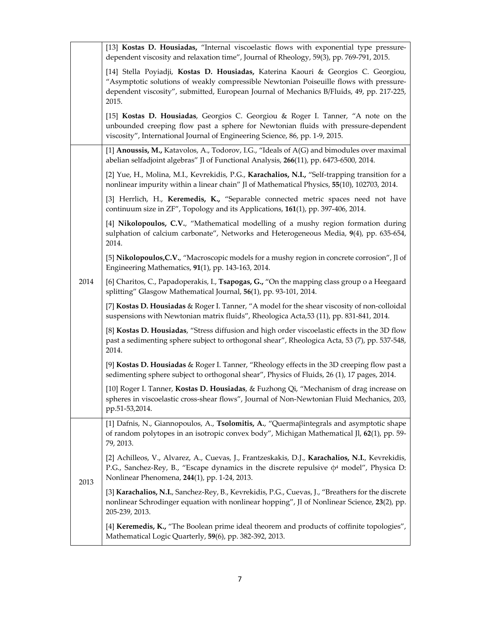|      | [13] Kostas D. Housiadas, "Internal viscoelastic flows with exponential type pressure-<br>dependent viscosity and relaxation time", Journal of Rheology, 59(3), pp. 769-791, 2015.                                                                                                 |
|------|------------------------------------------------------------------------------------------------------------------------------------------------------------------------------------------------------------------------------------------------------------------------------------|
|      | [14] Stella Poyiadji, Kostas D. Housiadas, Katerina Kaouri & Georgios C. Georgiou,<br>"Asymptotic solutions of weakly compressible Newtonian Poiseuille flows with pressure-<br>dependent viscosity", submitted, European Journal of Mechanics B/Fluids, 49, pp. 217-225,<br>2015. |
|      | [15] Kostas D. Housiadas, Georgios C. Georgiou & Roger I. Tanner, "A note on the<br>unbounded creeping flow past a sphere for Newtonian fluids with pressure-dependent<br>viscosity", International Journal of Engineering Science, 86, pp. 1-9, 2015.                             |
|      | [1] Anoussis, M., Katavolos, A., Todorov, I.G., "Ideals of A(G) and bimodules over maximal<br>abelian selfadjoint algebras" Jl of Functional Analysis, 266(11), pp. 6473-6500, 2014.                                                                                               |
|      | [2] Yue, H., Molina, M.I., Kevrekidis, P.G., Karachalios, N.I., "Self-trapping transition for a<br>nonlinear impurity within a linear chain" Jl of Mathematical Physics, 55(10), 102703, 2014.                                                                                     |
|      | [3] Herrlich, H., Keremedis, K., "Separable connected metric spaces need not have<br>continuum size in ZF", Topology and its Applications, 161(1), pp. 397-406, 2014.                                                                                                              |
|      | [4] Nikolopoulos, C.V., "Mathematical modelling of a mushy region formation during<br>sulphation of calcium carbonate", Networks and Heterogeneous Media, 9(4), pp. 635-654,<br>2014.                                                                                              |
|      | [5] Nikolopoulos, C.V., "Macroscopic models for a mushy region in concrete corrosion", Jl of<br>Engineering Mathematics, 91(1), pp. 143-163, 2014.                                                                                                                                 |
| 2014 | [6] Charitos, C., Papadoperakis, I., Tsapogas, G., "On the mapping class group o a Heegaard<br>splitting" Glasgow Mathematical Journal, 56(1), pp. 93-101, 2014.                                                                                                                   |
|      | [7] Kostas D. Housiadas & Roger I. Tanner, "A model for the shear viscosity of non-colloidal<br>suspensions with Newtonian matrix fluids", Rheologica Acta, 53 (11), pp. 831-841, 2014.                                                                                            |
|      | [8] Kostas D. Housiadas, "Stress diffusion and high order viscoelastic effects in the 3D flow<br>past a sedimenting sphere subject to orthogonal shear", Rheologica Acta, 53 (7), pp. 537-548,<br>2014.                                                                            |
|      | [9] Kostas D. Housiadas & Roger I. Tanner, "Rheology effects in the 3D creeping flow past a<br>sedimenting sphere subject to orthogonal shear", Physics of Fluids, 26 (1), 17 pages, 2014.                                                                                         |
|      | [10] Roger I. Tanner, Kostas D. Housiadas, & Fuzhong Qi, "Mechanism of drag increase on<br>spheres in viscoelastic cross-shear flows", Journal of Non-Newtonian Fluid Mechanics, 203,<br>pp.51-53,2014.                                                                            |
|      | [1] Dafnis, N., Giannopoulos, A., Tsolomitis, A., "Quermaßintegrals and asymptotic shape<br>of random polytopes in an isotropic convex body", Michigan Mathematical Jl, 62(1), pp. 59-<br>79, 2013.                                                                                |
| 2013 | [2] Achilleos, V., Alvarez, A., Cuevas, J., Frantzeskakis, D.J., Karachalios, N.I., Kevrekidis,<br>P.G., Sanchez-Rey, B., "Escape dynamics in the discrete repulsive $\phi^4$ model", Physica D:<br>Nonlinear Phenomena, 244(1), pp. 1-24, 2013.                                   |
|      | [3] Karachalios, N.I., Sanchez-Rey, B., Kevrekidis, P.G., Cuevas, J., "Breathers for the discrete<br>nonlinear Schrodinger equation with nonlinear hopping", Jl of Nonlinear Science, 23(2), pp.<br>205-239, 2013.                                                                 |
|      | [4] Keremedis, K., "The Boolean prime ideal theorem and products of coffinite topologies",<br>Mathematical Logic Quarterly, 59(6), pp. 382-392, 2013.                                                                                                                              |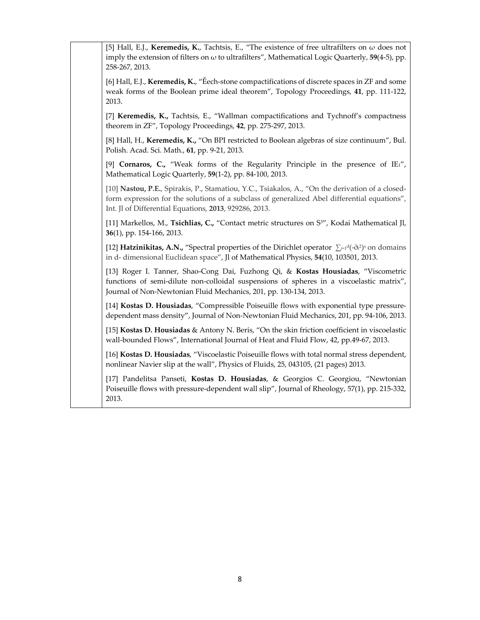| [5] Hall, E.J., Keremedis, K., Tachtsis, E., "The existence of free ultrafilters on $\omega$ does not<br>imply the extension of filters on $\omega$ to ultrafilters", Mathematical Logic Quarterly, 59(4-5), pp.<br>258-267, 2013.                         |
|------------------------------------------------------------------------------------------------------------------------------------------------------------------------------------------------------------------------------------------------------------|
| [6] Hall, E.J., Keremedis, K., "Eech-stone compactifications of discrete spaces in ZF and some<br>weak forms of the Boolean prime ideal theorem", Topology Proceedings, 41, pp. 111-122,<br>2013.                                                          |
| [7] Keremedis, K., Tachtsis, E., "Wallman compactifications and Tychnoff's compactness<br>theorem in ZF", Topology Proceedings, 42, pp. 275-297, 2013.                                                                                                     |
| [8] Hall, H., Keremedis, K., "On BPI restricted to Boolean algebras of size continuum", Bul.<br>Polish. Acad. Sci. Math., 61, pp. 9-21, 2013.                                                                                                              |
| [9] Cornaros, C., "Weak forms of the Regularity Principle in the presence of IE1",<br>Mathematical Logic Quarterly, 59(1-2), pp. 84-100, 2013.                                                                                                             |
| [10] Nastou, P.E., Spirakis, P., Stamatiou, Y.C., Tsiakalos, A., "On the derivation of a closed-<br>form expression for the solutions of a subclass of generalized Abel differential equations",<br>Int. Jl of Differential Equations, 2013, 929286, 2013. |
| [11] Markellos, M., Tsichlias, C., "Contact metric structures on S <sup>3"</sup> , Kodai Mathematical Jl,<br>36(1), pp. 154-166, 2013.                                                                                                                     |
| [12] <b>Hatzinikitas, A.N.,</b> "Spectral properties of the Dirichlet operator $\sum_{i=1}^{d}(-\partial x^2)^s$ on domains<br>in d- dimensional Euclidean space", Jl of Mathematical Physics, 54(10, 103501, 2013.                                        |
| [13] Roger I. Tanner, Shao-Cong Dai, Fuzhong Qi, & Kostas Housiadas, "Viscometric<br>functions of semi-dilute non-colloidal suspensions of spheres in a viscoelastic matrix",<br>Journal of Non-Newtonian Fluid Mechanics, 201, pp. 130-134, 2013.         |
| [14] Kostas D. Housiadas, "Compressible Poiseuille flows with exponential type pressure-<br>dependent mass density", Journal of Non-Newtonian Fluid Mechanics, 201, pp. 94-106, 2013.                                                                      |
| [15] Kostas D. Housiadas & Antony N. Beris, "On the skin friction coefficient in viscoelastic<br>wall-bounded Flows", International Journal of Heat and Fluid Flow, 42, pp.49-67, 2013.                                                                    |
| [16] Kostas D. Housiadas, "Viscoelastic Poiseuille flows with total normal stress dependent,<br>nonlinear Navier slip at the wall", Physics of Fluids, 25, 043105, (21 pages) 2013.                                                                        |
| [17] Pandelitsa Panseti, Kostas D. Housiadas, & Georgios C. Georgiou, "Newtonian<br>Poiseuille flows with pressure-dependent wall slip", Journal of Rheology, 57(1), pp. 215-332,<br>2013.                                                                 |
|                                                                                                                                                                                                                                                            |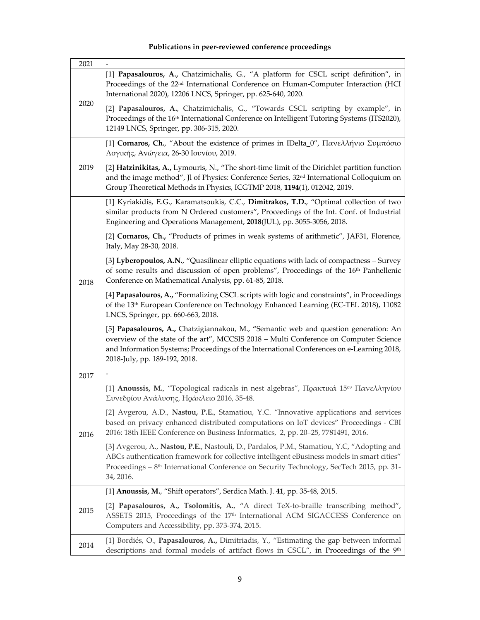## **Publications in peer‐reviewed conference proceedings**

| 2021 |                                                                                                                                                                                                                                                                                                               |
|------|---------------------------------------------------------------------------------------------------------------------------------------------------------------------------------------------------------------------------------------------------------------------------------------------------------------|
| 2020 | [1] Papasalouros, A., Chatzimichalis, G., "A platform for CSCL script definition", in<br>Proceedings of the 22 <sup>nd</sup> International Conference on Human-Computer Interaction (HCI<br>International 2020), 12206 LNCS, Springer, pp. 625-640, 2020.                                                     |
|      | [2] Papasalouros, A., Chatzimichalis, G., "Towards CSCL scripting by example", in<br>Proceedings of the 16 <sup>th</sup> International Conference on Intelligent Tutoring Systems (ITS2020),<br>12149 LNCS, Springer, pp. 306-315, 2020.                                                                      |
|      | [1] Cornaros, Ch., "About the existence of primes in IDelta_0", Πανελλήνιο Συμπόσιο<br>Λογικής, Ανώγεια, 26-30 Ιουνίου, 2019.                                                                                                                                                                                 |
| 2019 | [2] Hatzinikitas, A., Lymouris, N., "The short-time limit of the Dirichlet partition function<br>and the image method", Jl of Physics: Conference Series, 32 <sup>nd</sup> International Colloquium on<br>Group Theoretical Methods in Physics, ICGTMP 2018, 1194(1), 012042, 2019.                           |
|      | [1] Kyriakidis, E.G., Karamatsoukis, C.C., Dimitrakos, T.D., "Optimal collection of two<br>similar products from N Ordered customers", Proceedings of the Int. Conf. of Industrial<br>Engineering and Operations Management, 2018(JUL), pp. 3055-3056, 2018.                                                  |
|      | [2] Cornaros, Ch., "Products of primes in weak systems of arithmetic", JAF31, Florence,<br>Italy, May 28-30, 2018.                                                                                                                                                                                            |
| 2018 | [3] Lyberopoulos, A.N., "Quasilinear elliptic equations with lack of compactness - Survey<br>of some results and discussion of open problems", Proceedings of the 16 <sup>th</sup> Panhellenic<br>Conference on Mathematical Analysis, pp. 61-85, 2018.                                                       |
|      | [4] Papasalouros, A., "Formalizing CSCL scripts with logic and constraints", in Proceedings<br>of the 13 <sup>th</sup> European Conference on Technology Enhanced Learning (EC-TEL 2018), 11082<br>LNCS, Springer, pp. 660-663, 2018.                                                                         |
|      | [5] Papasalouros, A., Chatzigiannakou, M., "Semantic web and question generation: An<br>overview of the state of the art", MCCSIS 2018 - Multi Conference on Computer Science<br>and Information Systems; Proceedings of the International Conferences on e-Learning 2018,<br>2018-July, pp. 189-192, 2018.   |
| 2017 |                                                                                                                                                                                                                                                                                                               |
|      | [1] Anoussis, M., "Topological radicals in nest algebras", Πρακτικά 15 <sup>ου</sup> Πανελληνίου<br>Συνεδρίου Ανάλυσης, Ηράκλειο 2016, 35-48.                                                                                                                                                                 |
| 2016 | [2] Avgerou, A.D., Nastou, P.E., Stamatiou, Y.C. "Innovative applications and services<br>based on privacy enhanced distributed computations on IoT devices" Proceedings - CBI<br>2016: 18th IEEE Conference on Business Informatics, 2, pp. 20–25, 7781491, 2016.                                            |
|      | [3] Avgerou, A., Nastou, P.E., Nastouli, D., Pardalos, P.M., Stamatiou, Y.C, "Adopting and<br>ABCs authentication framework for collective intelligent eBusiness models in smart cities"<br>Proceedings - 8 <sup>th</sup> International Conference on Security Technology, SecTech 2015, pp. 31-<br>34, 2016. |
|      | [1] Anoussis, M., "Shift operators", Serdica Math. J. 41, pp. 35-48, 2015.                                                                                                                                                                                                                                    |
| 2015 | [2] Papasalouros, A., Tsolomitis, A., "A direct TeX-to-braille transcribing method",<br>ASSETS 2015, Proceedings of the 17 <sup>th</sup> International ACM SIGACCESS Conference on<br>Computers and Accessibility, pp. 373-374, 2015.                                                                         |
| 2014 | [1] Bordiés, O., Papasalouros, A., Dimitriadis, Y., "Estimating the gap between informal<br>descriptions and formal models of artifact flows in CSCL", in Proceedings of the 9th                                                                                                                              |